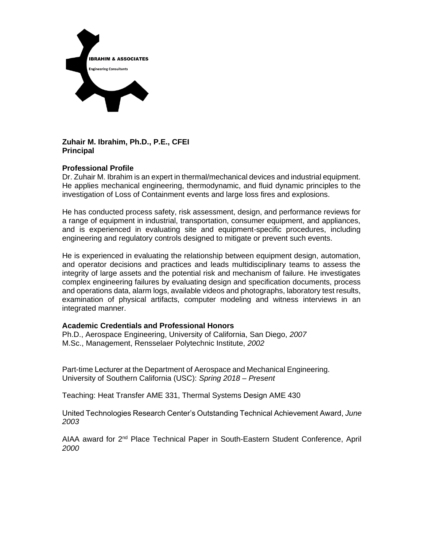

# **Zuhair M. Ibrahim, Ph.D., P.E., CFEI Principal**

# **Professional Profile**

Dr. Zuhair M. Ibrahim is an expert in thermal/mechanical devices and industrial equipment. He applies mechanical engineering, thermodynamic, and fluid dynamic principles to the investigation of Loss of Containment events and large loss fires and explosions.

He has conducted process safety, risk assessment, design, and performance reviews for a range of equipment in industrial, transportation, consumer equipment, and appliances, and is experienced in evaluating site and equipment-specific procedures, including engineering and regulatory controls designed to mitigate or prevent such events.

He is experienced in evaluating the relationship between equipment design, automation, and operator decisions and practices and leads multidisciplinary teams to assess the integrity of large assets and the potential risk and mechanism of failure. He investigates complex engineering failures by evaluating design and specification documents, process and operations data, alarm logs, available videos and photographs, laboratory test results, examination of physical artifacts, computer modeling and witness interviews in an integrated manner.

# **Academic Credentials and Professional Honors**

Ph.D., Aerospace Engineering, University of California, San Diego, *2007* M.Sc., Management, Rensselaer Polytechnic Institute, *2002*

Part-time Lecturer at the Department of Aerospace and Mechanical Engineering. University of Southern California (USC): *Spring 2018 – Present*

Teaching: Heat Transfer AME 331, Thermal Systems Design AME 430

United Technologies Research Center's Outstanding Technical Achievement Award, *June 2003*

AIAA award for 2nd Place Technical Paper in South-Eastern Student Conference, April *2000*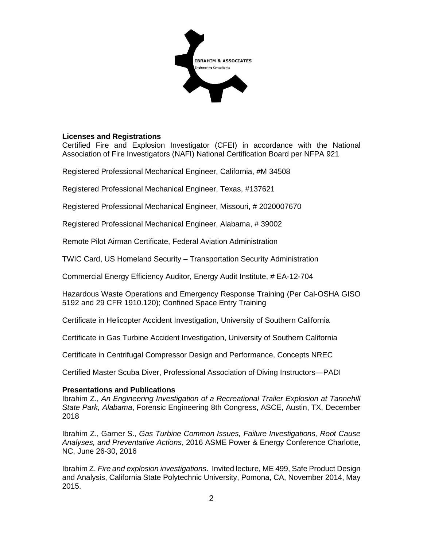

## **Licenses and Registrations**

Certified Fire and Explosion Investigator (CFEI) in accordance with the National Association of Fire Investigators (NAFI) National Certification Board per NFPA 921

Registered Professional Mechanical Engineer, California, #M 34508

Registered Professional Mechanical Engineer, Texas, #137621

Registered Professional Mechanical Engineer, Missouri, # 2020007670

Registered Professional Mechanical Engineer, Alabama, # 39002

Remote Pilot Airman Certificate, Federal Aviation Administration

TWIC Card, US Homeland Security – Transportation Security Administration

Commercial Energy Efficiency Auditor, Energy Audit Institute, # EA-12-704

Hazardous Waste Operations and Emergency Response Training (Per Cal-OSHA GISO 5192 and 29 CFR 1910.120); Confined Space Entry Training

Certificate in Helicopter Accident Investigation, University of Southern California

Certificate in Gas Turbine Accident Investigation, University of Southern California

Certificate in Centrifugal Compressor Design and Performance, Concepts NREC

Certified Master Scuba Diver, Professional Association of Diving Instructors—PADI

#### **Presentations and Publications**

Ibrahim Z., *An Engineering Investigation of a Recreational Trailer Explosion at Tannehill State Park, Alabama*, Forensic Engineering 8th Congress, ASCE, Austin, TX, December 2018

Ibrahim Z., Garner S., *Gas Turbine Common Issues, Failure Investigations, Root Cause Analyses, and Preventative Actions*, 2016 ASME Power & Energy Conference Charlotte, NC, June 26-30, 2016

Ibrahim Z. *Fire and explosion investigations*. Invited lecture, ME 499, Safe Product Design and Analysis, California State Polytechnic University, Pomona, CA, November 2014, May 2015.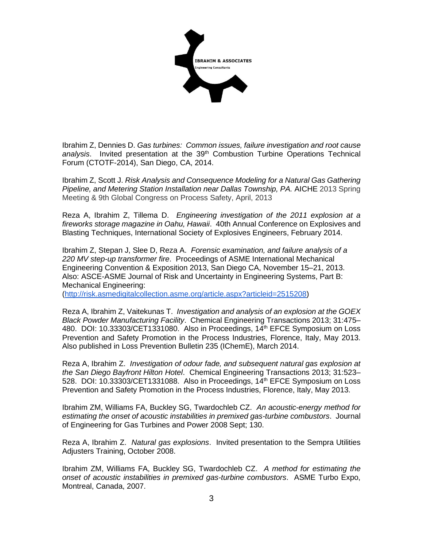

Ibrahim Z, Dennies D. *Gas turbines: Common issues, failure investigation and root cause*  analysis. Invited presentation at the 39<sup>th</sup> Combustion Turbine Operations Technical Forum (CTOTF-2014), San Diego, CA, 2014.

Ibrahim Z, Scott J. *Risk Analysis and Consequence Modeling for a Natural Gas Gathering Pipeline, and Metering Station Installation near Dallas Township, PA. AICHE 2013 Spring* Meeting & 9th Global Congress on Process Safety, April, 2013

Reza A, Ibrahim Z, Tillema D. *Engineering investigation of the 2011 explosion at a fireworks storage magazine in Oahu, Hawaii*. 40th Annual Conference on Explosives and Blasting Techniques, International Society of Explosives Engineers, February 2014.

Ibrahim Z, Stepan J, Slee D, Reza A. *Forensic examination, and failure analysis of a 220 MV step-up transformer fire*. Proceedings of ASME International Mechanical Engineering Convention & Exposition 2013, San Diego CA, November 15–21, 2013. Also: ASCE-ASME Journal of Risk and Uncertainty in Engineering Systems, Part B: Mechanical Engineering:

[\(http://risk.asmedigitalcollection.asme.org/article.aspx?articleid=2515208\)](https://office.lpiny.com/owa/redir.aspx?SURL=zODWZWI2MfcYfgGyG7MXz8evN57YmZ4GRRDMXcKSWYjK4pBt2ZjTCGgAdAB0AHAAOgAvAC8AcgBpAHMAawAuAGEAcwBtAGUAZABpAGcAaQB0AGEAbABjAG8AbABsAGUAYwB0AGkAbwBuAC4AYQBzAG0AZQAuAG8AcgBnAC8AYQByAHQAaQBjAGwAZQAuAGEAcwBwAHgAPwBhAHIAdABpAGMAbABlAGkAZAA9ADIANQAxADUAMgAwADgA&URL=http%3a%2f%2frisk.asmedigitalcollection.asme.org%2farticle.aspx%3farticleid%3d2515208)

Reza A, Ibrahim Z, Vaitekunas T. *Investigation and analysis of an explosion at the GOEX Black Powder Manufacturing Facility*. Chemical Engineering Transactions 2013; 31:475– 480. DOI: 10.33303/CET1331080. Also in Proceedings, 14<sup>th</sup> EFCE Symposium on Loss Prevention and Safety Promotion in the Process Industries, Florence, Italy, May 2013. Also published in Loss Prevention Bulletin 235 (IChemE), March 2014.

Reza A, Ibrahim Z. *Investigation of odour fade, and subsequent natural gas explosion at the San Diego Bayfront Hilton Hotel*. Chemical Engineering Transactions 2013; 31:523– 528. DOI: 10.33303/CET1331088. Also in Proceedings, 14<sup>th</sup> EFCE Symposium on Loss Prevention and Safety Promotion in the Process Industries, Florence, Italy, May 2013.

Ibrahim ZM, Williams FA, Buckley SG, Twardochleb CZ. *An acoustic-energy method for estimating the onset of acoustic instabilities in premixed gas-turbine combustors*. [Journal](http://journaltool.asme.org/Content/JournalDescriptions.cfm?journalId=7)  [of Engineering for Gas Turbines and Power 2](http://journaltool.asme.org/Content/JournalDescriptions.cfm?journalId=7)008 Sept; 130.

Reza A, Ibrahim Z. *Natural gas explosions*. Invited presentation to the Sempra Utilities Adjusters Training, October 2008.

Ibrahim ZM, Williams FA, Buckley SG, Twardochleb CZ. *A method for estimating the onset of acoustic instabilities in premixed gas-turbine combustors*. ASME Turbo Expo, Montreal, Canada, 2007.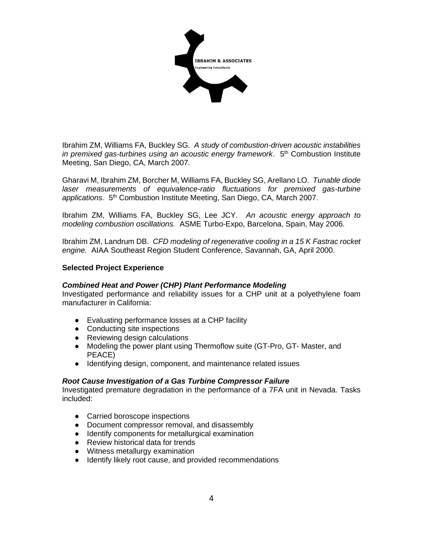

Ibrahim ZM, Williams FA, Buckley SG. *A study of combustion-driven acoustic instabilities*  in premixed gas-turbines using an acoustic energy framework. 5<sup>th</sup> Combustion Institute Meeting, San Diego, CA, March 2007.

Gharavi M, Ibrahim ZM, Borcher M, Williams FA, Buckley SG, Arellano LO. *Tunable diode laser measurements of equivalence-ratio fluctuations for premixed gas-turbine applications*. 5th Combustion Institute Meeting, San Diego, CA, March 2007.

Ibrahim ZM, Williams FA, Buckley SG, Lee JCY. *An acoustic energy approach to modeling combustion oscillations.* ASME Turbo-Expo, Barcelona, Spain, May 2006.

Ibrahim ZM, Landrum DB. *CFD modeling of regenerative cooling in a 15 K Fastrac rocket engine.* AIAA Southeast Region Student Conference, Savannah, GA, April 2000.

## **Selected Project Experience**

#### *Combined Heat and Power (CHP) Plant Performance Modeling*

Investigated performance and reliability issues for a CHP unit at a polyethylene foam manufacturer in California:

- Evaluating performance losses at a CHP facility
- Conducting site inspections
- Reviewing design calculations
- Modeling the power plant using Thermoflow suite (GT-Pro, GT- Master, and PEACE)
- Identifying design, component, and maintenance related issues

#### *Root Cause Investigation of a Gas Turbine Compressor Failure*

Investigated premature degradation in the performance of a 7FA unit in Nevada. Tasks included:

- Carried boroscope inspections
- Document compressor removal, and disassembly
- Identify components for metallurgical examination
- Review historical data for trends
- Witness metallurgy examination
- Identify likely root cause, and provided recommendations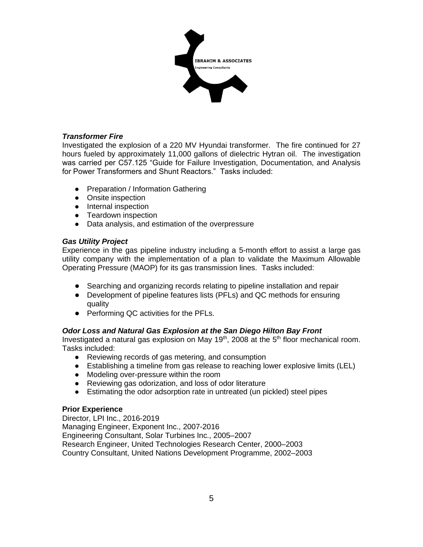

# *Transformer Fire*

Investigated the explosion of a 220 MV Hyundai transformer. The fire continued for 27 hours fueled by approximately 11,000 gallons of dielectric Hytran oil. The investigation was carried per C57.125 "Guide for Failure Investigation, Documentation, and Analysis for Power Transformers and Shunt Reactors." Tasks included:

- Preparation / Information Gathering
- Onsite inspection
- Internal inspection
- Teardown inspection
- Data analysis, and estimation of the overpressure

# *Gas Utility Project*

Experience in the gas pipeline industry including a 5-month effort to assist a large gas utility company with the implementation of a plan to validate the Maximum Allowable Operating Pressure (MAOP) for its gas transmission lines. Tasks included:

- Searching and organizing records relating to pipeline installation and repair
- Development of pipeline features lists (PFLs) and QC methods for ensuring quality
- Performing QC activities for the PFLs.

# *Odor Loss and Natural Gas Explosion at the San Diego Hilton Bay Front*

Investigated a natural gas explosion on May  $19<sup>th</sup>$ , 2008 at the  $5<sup>th</sup>$  floor mechanical room. Tasks included:

- Reviewing records of gas metering, and consumption
- Establishing a timeline from gas release to reaching lower explosive limits (LEL)
- Modeling over-pressure within the room
- Reviewing gas odorization, and loss of odor literature
- Estimating the odor adsorption rate in untreated (un pickled) steel pipes

# **Prior Experience**

Director, LPI Inc., 2016-2019 Managing Engineer, Exponent Inc., 2007-2016 Engineering Consultant, Solar Turbines Inc., 2005–2007 Research Engineer, United Technologies Research Center, 2000–2003 Country Consultant, United Nations Development Programme, 2002–2003